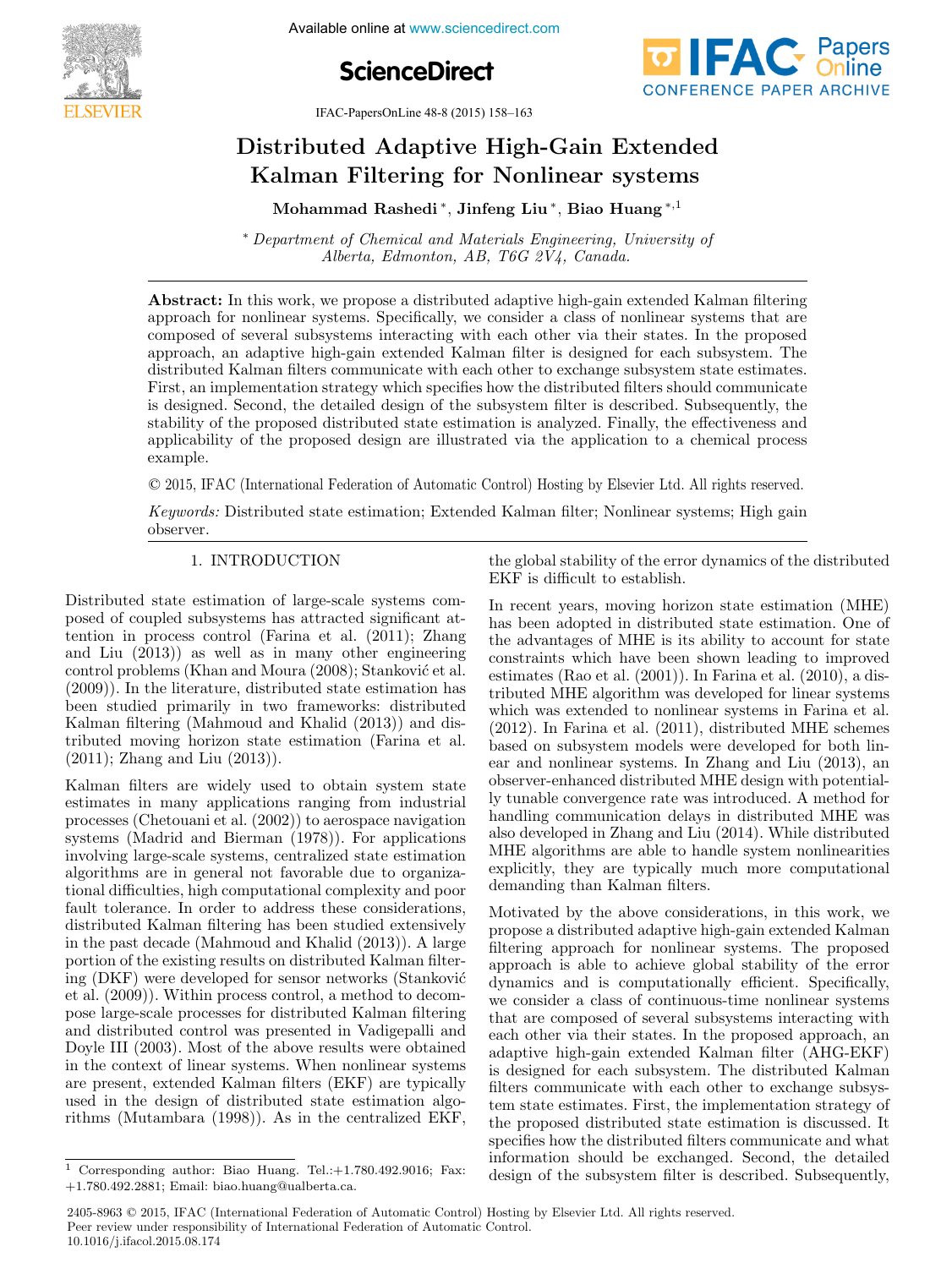

**ScienceDirect**



IFAC-PapersOnLine 48-8 (2015) 158–163

## Distributed Adaptive High-Gain Extended Distributed Adaptive High-Gain Extended Kalman Filtering for Nonlinear systems Kalman Filtering for Nonlinear systems Distributed Adaptive High-Gain Extended Distributed Adaptive High-Gain Extended Kalman Filtering for Nonlinear systems Kalman Filtering for Nonlinear systems

Mohammad Rashedi <sup>∗</sup>, Jinfeng Liu <sup>∗</sup>, Biao Huang <sup>∗</sup>,<sup>1</sup> Mohammad Rashedi <sup>∗</sup>, Jinfeng Liu <sup>∗</sup>, Biao Huang <sup>∗</sup>,<sup>1</sup> Mohammad Rashedi <sup>∗</sup>, Jinfeng Liu <sup>∗</sup>, Biao Huang <sup>∗</sup>,<sup>1</sup> Mohammad Rashedi <sup>∗</sup>, Jinfeng Liu <sup>∗</sup>, Biao Huang <sup>∗</sup>,<sup>1</sup>

∗ Department of Chemical and Materials Engineering, University of  $Alberta, Edmonton, AB, T6G 2V4, Canada.$ Alberta, Edmonton, AB, T6G 2V4, Canada. ∗ Department of Chemical and Materials Engineering, University of ∗ Department of Chemical and Materials Engineering, University of

**ADStract:** In this work, we propose a distributed adaptive ingu-gain extended Kalinan intering<br>approach for nonlinear systems. Specifically, we consider a class of nonlinear systems that are composed of several subsystems interacting with each other via their states. In the proposed composed or several subsystems interacting with each other via their states. In the proposed<br>approach, an adaptive high-gain extended Kalman filter is designed for each subsystem. The approach, an adaptive ingn-gain extended Kannan inter is designed for each subsystem. The<br>distributed Kalman filters communicate with each other to exchange subsystem state estimates. distributed Kannan inters communicate with each other to exchange subsystem state estimates.<br>First, an implementation strategy which specifies how the distributed filters should communicate is designed. Second, the detailed design of the subsystem filter is described. Subsequently, the is designed. Second, the detailed design of the subsystem inter is described. Subsequently, the stability of the proposed distributed state estimation is analyzed. Finally, the effectiveness and stability of the proposed distributed state estimation is analyzed. Finally, the effectiveness and  $\eta$ applicability of the proposed design are illustrated via the application to a chemical process example. example. example.  $\alpha$  application of the proposed design are in the application to a chemical proposed via the application to a chemical process  $\alpha$ Abstract: In this work, we propose a distributed adaptive high-gain extended Kalman filtering approach for nonlinear systems. Specifically, we consider a class of nonlinear systems that are First, an implementation strategy which specifies how the distributed filters should communicate stability of the proposed distributed state estimation is analyzed. Finally, the effectiveness and

© 2015, IFAC (International Federation of Automatic Control) Hosting by Elsevier Ltd. All rights reserved.

Keywords: Distributed state estimation; Extended Kalman filter; Nonlinear systems; High gain Keywords: Distributed state estimation; Extended Kalman filter; Nonlinear systems; High gain observer. observer. observer. Keywords: Distributed state estimation; Extended Kalman filter; Nonlinear systems; High gain Keywords: Distributed state estimation; Extended Kalman filter; Nonlinear systems; High gain

#### 1. INTRODUCTION 1. INTRODUCTION 1. INTRODUCTION 1. INTRODUCTION

Distributed state estimation of large-scale systems com-Distributed state estimation of large-scale systems composed of coupled subsystems has attracted significant at-posed of coupled subsystems has attracted significant attention in process control (Farina et al.  $(2011)$ ; Zhang and Liu  $(2013)$  as well as in many other engineering control problems (Khan and Moura (2008); Stanković et al. (2009)). In the literature, distributed state estimation has (2009)). In the literature, distributed state estimation has been studied primarily in two frameworks: distributed been studied primarily in two frameworks: distributed Kalman filtering (Mahmoud and Khalid (2013)) and dis-Kalman filtering (Mahmoud and Khalid (2013)) and distributed moving horizon state estimation (Farina et al.  $(2011)$ ,  $T_1$ (2011); Zhang and Liu (2013)). (2011); Zhang and Liu (2013)). Distributed state estimation of large-scale systems com-Distributed state estimation of large-scale systems composed of coupled subsystems has attracted significant at-posed of coupled subsystems has attracted significant attention in process control (Farina et al. (2011); Zhang tention in process control (Farina et al. (2011); Zhang and Liu (2013)) as well as in many other engineering and Liu (2013)) as well as in many other engineering  $\frac{1}{2}$  control problems (Khan and Moura (2008); Stanković et al. (2009)). In the literature, distributed state estimation has (2009)). In the literature, distributed state estimation has been studied primarily in two frameworks: distributed been studied primarily in two frameworks: distributed Kalman filtering (Mahmoud and Khalid (2013)) and dis-Kalman filtering (Mahmoud and Khalid (2013)) and distributed moving horizon state estimation (Farina et al. tributed moving horizon state estimation (Farina et al.  $(2011)$ ; Zhang and Liu  $(2013)$ ).

Kalman filters are widely used to obtain system state Kalman filters are widely used to obtain system state estimates in many applications ranging from industrial processes (Chetouani et al. (2002)) to aerospace navigation processes (Chetouani et al. (2002)) to aerospace navigation systems (Madrid and Bierman (1978)). For applications systems (Madrid and Bierman (1978)). For applications involving large-scale systems, centralized state estimation involving large-scale systems, centralized state estimation algorithms are in general not favorable due to organiza-algorithms are in general not favorable due to organizational difficulties, high computational complexity and poor tional difficulties, high computational complexity and poor fault tolerance. In order to address these considerations, distributed Kalman filtering has been studied extensively distributed Kalman filtering has been studied extensively in the past decade (Mahmoud and Khalid (2013)). A large in the past decade (Mahmoud and Khalid (2013)). A large portion of the existing results on distributed Kalman filtering (DKF) were developed for sensor networks (Stanković et al. (2009)). Within process control, a method to decom-et al. (2009)). Within process control, a method to decompose large-scale processes for distributed Kalman filtering pose large-scale processes for distributed Kalman filtering and distributed control was presented in Vadigepalli and and distributed control was presented in Vadigepalli and Doyle III (2003). Most of the above results were obtained Doyle III (2003). Most of the above results were obtained in the context of linear systems. When nonlinear systems in the context of linear systems. When nonlinear systems are present, extended Kalman filters (EKF) are typically are present, extended Kalman filters (EKF) are typically used in the design of distributed state estimation algorithms (Mutambara (1998)). As in the centralized EKF, rithms (Mutambara (1998)). As in the centralized EKF, Kalman filters are widely used to obtain system state Kalman filters are widely used to obtain system state estimates in many applications ranging from industrial estimates in many applications ranging from industrial processes (Chetouani et al. (2002)) to aerospace navigation processes (Chetouani et al. (2002)) to aerospace navigation systems (Madrid and Bierman (1978)). For applications systems (Madrid and Bierman (1978)). For applications involving large-scale systems, centralized state estimation involving large-scale systems, centralized state estimation algorithms are in general not favorable due to organiza-algorithms are in general not favorable due to organizational difficulties, high computational complexity and poor tional difficulties, high computational complexity and poor fault tolerance. In order to address these considerations, fault tolerance. In order to address these considerations, distributed Kalman filtering has been studied extensively distributed Kalman filtering has been studied extensively in the past decade (Mahmoud and Khalid (2013)). A large in the past decade (Mahmoud and Khalid (2013)). A large portion of the existing results on distributed Kalman filter-portion of the existing results on distributed Kalman filterportion of the existing results on distributed Kalinan inter-<br>ing (DKF) were developed for sensor networks (Stanković et al. (2009)). Within process control, a method to decom-et al. (2009)). Within process control, a method to decompose large-scale processes for distributed Kalman filtering pose large-scale processes for distributed Kalman filtering and distributed control was presented in Vadigepalli and and distributed control was presented in Vadigepalli and Doyle III (2003). Most of the above results were obtained Doyle III (2003). Most of the above results were obtained in the context of linear systems. When nonlinear systems in the context of linear systems. When nonlinear systems are present, extended Kalman filters (EKF) are typically are present, extended Kalman filters (EKF) are typically used in the design of distributed state estimation algo-used in the design of distributed state estimation algorithms (Mutambara (1998)). As in the centralized EKF, rithms (Mutambara (1998)). As in the centralized EKF,

the global stability of the error dynamics of the distributed<br> $\overline{H}$ EKF is difficult to establish. EKF is difficult to establish. the global stability of the error dynamics of the distributed the global stability of the error dynamics of the distributed EKF is difficult to establish. EKF is difficult to establish.

In recent years, moving horizon state estimation (MHE) In recent years, moving horizon state estimation (MHE) has been adopted in distributed state estimation. One of has been adopted in distributed state estimation. One of the advantages of MHE is its ability to account for state the advantages of MHE is its ability to account for state constraints which have been shown leading to improved estimates (Rao et al. (2001)). In Farina et al. (2010), a dis-estimates (Rao et al. (2001)). In Farina et al. (2010), a distributed MHE algorithm was developed for linear systems tributed MHE algorithm was developed for linear systems which was extended to nonlinear systems in Farina et al. (2012). In Farina et al. (2011), distributed MHE schemes (2012). In Farina et al. (2011), distributed MHE schemes based on subsystem models were developed for both linear and nonlinear systems. In Zhang and Liu (2013), an observer-enhanced distributed MHE design with potential-observer-enhanced distributed MHE design with potentially tunable convergence rate was introduced. A method for ly tunable convergence rate was introduced. A method for handling communication delays in distributed MHE was also developed in Zhang and Liu (2014). While distributed also developed in Zhang and Liu (2014). While distributed MHE algorithms are able to handle system nonlinearities MHE algorithms are able to handle system nonlinearities explicitly, they are typically much more computational demanding than Kalman filters. demanding than Kalman filters. In recent years, moving horizon state estimation (MHE) In recent years, moving horizon state estimation (MHE) has been adopted in distributed state estimation. One of has been adopted in distributed state estimation. One of the advantages of MHE is its ability to account for state the advantages of MHE is its ability to account for state constraints which have been shown leading to improved constraints which have been shown leading to improved estimates (Rao et al. (2001)). In Farina et al. (2010), a dis-estimates (Rao et al. (2001)). In Farina et al. (2010), a distributed MHE algorithm was developed for linear systems tributed MHE algorithm was developed for linear systems which was extended to nonlinear systems in Farina et al. which was extended to nonlinear systems in Farina et al. (2012). In Farina et al. (2011), distributed MHE schemes (2012). In Farina et al. (2011), distributed MHE schemes based on subsystem models were developed for both lin-based on subsystem models were developed for both linear and nonlinear systems. In Zhang and Liu (2013), an ear and nonlinear systems. In Zhang and Liu (2013), an observer-enhanced distributed MHE design with potential-observer-enhanced distributed MHE design with potentially tunable convergence rate was introduced. A method for ly tunable convergence rate was introduced. A method for handling communication delays in distributed MHE was handling communication delays in distributed MHE was also developed in Zhang and Liu (2014). While distributed also developed in Zhang and Liu (2014). While distributed MHE algorithms are able to handle system nonlinearities MHE algorithms are able to handle system nonlinearities explicitly, they are typically much more computational explicitly, they are typically much more computational demanding than Kalman filters. demanding than Kalman filters.

Motivated by the above considerations, in this work, we Motivated by the above considerations, in this work, we propose a distributed adaptive high-gain extended Kalman propose a distributed adaptive high-gain extended Kalman filtering approach for nonlinear systems. The proposed filtering approach for nonlinear systems. The proposed approach is able to achieve global stability of the error approach is able to achieve global stability of the error dynamics and is computationally efficient. Specifically, dynamics and is computationally efficient. Specifically, we consider a class of continuous-time nonlinear systems we consider a class of continuous-time nonlinear systems that are composed of several subsystems interacting with each other via their states. In the proposed approach, an adaptive high-gain extended Kalman filter (AHG-EKF) adaptive high-gain extended Kalman filter (AHG-EKF) is designed for each subsystem. The distributed Kalman is designed for each subsystem. The distributed Kalman filters communicate with each other to exchange subsystem state estimates. First, the implementation strategy of the proposed distributed state estimation is discussed. It the proposed distributed state estimation is discussed. It specifies how the distributed filters communicate and what information should be exchanged. Second, the detailed information should be exchanged. Second, the detailed design of the subsystem filter is described. Subsequently, design of the subsystem filter is described. Subsequently, Motivated by the above considerations, in this work, we Motivated by the above considerations, in this work, we propose a distributed adaptive high-gain extended Kalman propose a distributed adaptive high-gain extended Kalman filtering approach for nonlinear systems. The proposed filtering approach for nonlinear systems. The proposed approach is able to achieve global stability of the error approach is able to achieve global stability of the error dynamics and is computationally efficient. Specifically, dynamics and is computationally efficient. Specifically, we consider a class of continuous-time nonlinear systems we consider a class of continuous-time nonlinear systems that are composed of several subsystems interacting with that are composed of several subsystems interacting with each other via their states. In the proposed approach, an each other via their states. In the proposed approach, an adaptive high-gain extended Kalman filter (AHG-EKF) adaptive high-gain extended Kalman filter (AHG-EKF) is designed for each subsystem. The distributed Kalman is designed for each subsystem. The distributed Kalman filters communicate with each other to exchange subsys-filters communicate with each other to exchange subsystem state estimates. First, the implementation strategy of tem state estimates. First, the implementation strategy of the proposed distributed state estimation is discussed. It the proposed distributed state estimation is discussed. It specifies how the distributed filters communicate and what specifies how the distributed filters communicate and what information should be exchanged. Second, the detailed information should be exchanged. Second, the detailed design of the subsystem filter is described. Subsequently, design of the subsystem filter is described. Subsequently,

2405-8963 © 2015, IFAC (International Federation of Automatic Control) Hosting by Elsevier Ltd. All rights reserved. **Peer review under responsibility of International Federation of Automatic Control.** 10.1016/j.ifacol.2015.08.174

<sup>&</sup>lt;sup>1</sup> Corresponding author: Biao Huang. Tel.: $+1.780.492.9016$ ; Fax: +1.780.492.2881; Email: biao.huang@ualberta.ca. +1.780.492.2881; Email: biao.huang@ualberta.ca.  $\overline{1}$  Corresponding author: Biao Huang. Tel.:+1.780.492.9016; Fax: +1.780.492.2881; Email: biao.huang@ualberta.ca. +1.780.492.2881; Email: biao.huang@ualberta.ca.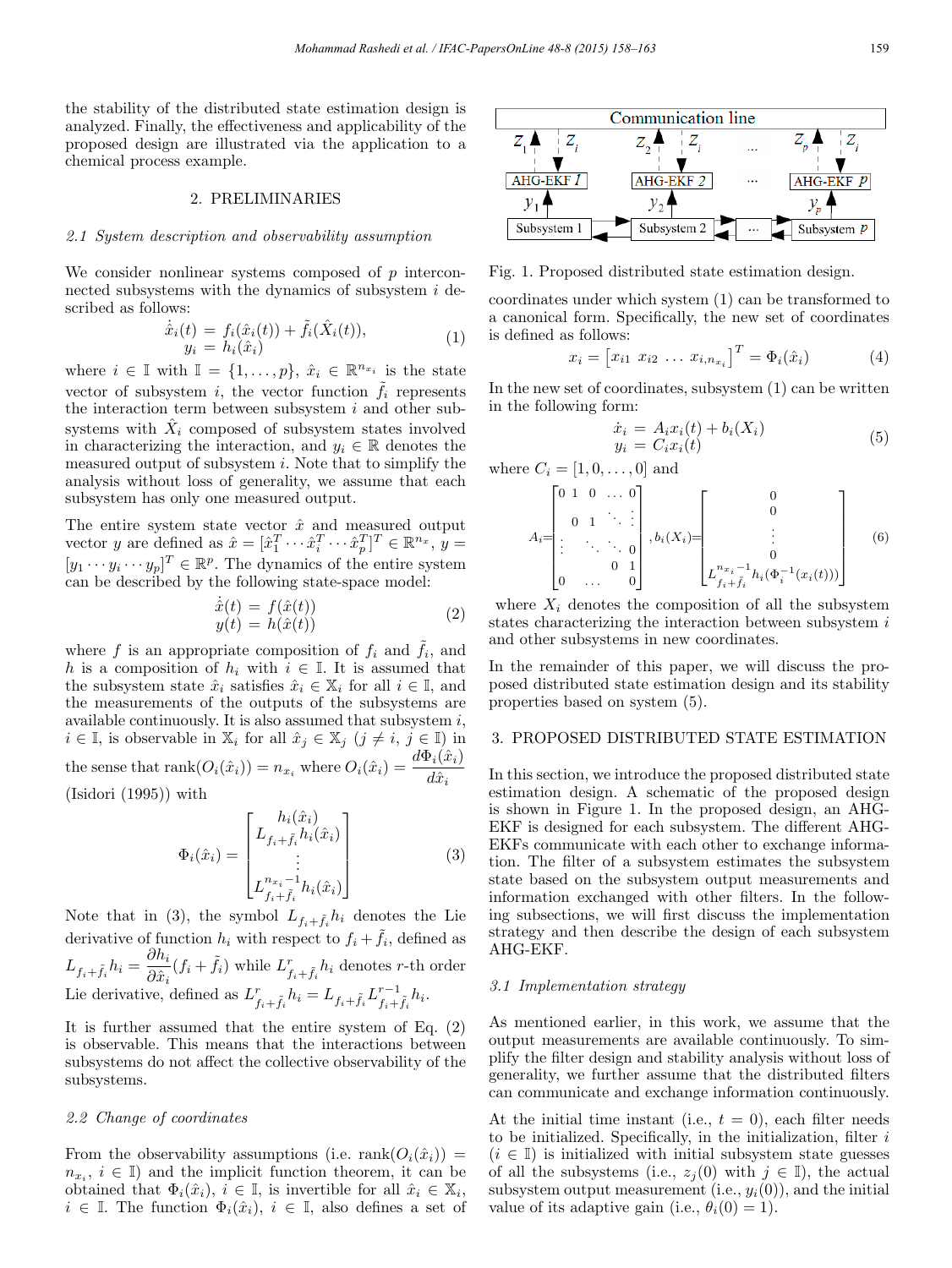the stability of the distributed state estimation design is analyzed. Finally, the effectiveness and applicability of the proposed design are illustrated via the application to a chemical process example.

## 2. PRELIMINARIES

#### 2.1 System description and observability assumption

We consider nonlinear systems composed of p interconnected subsystems with the dynamics of subsystem  $i$  described as follows:

$$
\dot{\hat{x}}_i(t) = f_i(\hat{x}_i(t)) + \tilde{f}_i(\hat{X}_i(t)), \n y_i = h_i(\hat{x}_i)
$$
\n(1)

where  $i \in \mathbb{I}$  with  $\mathbb{I} = \{1, \ldots, p\}, \ \hat{x}_i \in \mathbb{R}^{n_{x_i}}$  is the state vector of subsystem i, the vector function  $\tilde{f}_i$  represents the interaction term between subsystem  $i$  and other subsystems with  $\hat{X}_i$  composed of subsystem states involved in characterizing the interaction, and  $y_i \in \mathbb{R}$  denotes the measured output of subsystem  $i$ . Note that to simplify the analysis without loss of generality, we assume that each subsystem has only one measured output.

The entire system state vector  $\hat{x}$  and measured output vector y are defined as  $\hat{x} = [\hat{x}_1^T \cdots \hat{x}_i^T \cdots \hat{x}_p^T]^T \in \mathbb{R}^{n_x}$ , y =  $[y_1 \cdots y_i \cdots y_p]^T \in \mathbb{R}^p$ . The dynamics of the entire system can be described by the following state-space model:

$$
\begin{aligned}\n\dot{\hat{x}}(t) &= f(\hat{x}(t))\\
y(t) &= h(\hat{x}(t))\n\end{aligned} \tag{2}
$$

where f is an appropriate composition of  $f_i$  and  $f_i$ , and h is a composition of  $h_i$  with  $i \in \mathbb{I}$ . It is assumed that the subsystem state  $\hat{x}_i$  satisfies  $\hat{x}_i \in \mathbb{X}_i$  for all  $i \in \mathbb{I}$ , and the measurements of the outputs of the subsystems are available continuously. It is also assumed that subsystem  $i$ ,  $i \in \mathbb{I}$ , is observable in  $\mathbb{X}_i$  for all  $\hat{x}_j \in \mathbb{X}_j$   $(j \neq i, j \in \mathbb{I})$  in the sense that  $rank(O_i(\hat{x}_i)) = n_{x_i}$  where  $O_i(\hat{x}_i) = \frac{d\Phi_i(\hat{x}_i)}{d\hat{x}_i}$ (Isidori (1995)) with

$$
\Phi_i(\hat{x}_i) = \begin{bmatrix} h_i(\hat{x}_i) \\ L_{f_i + \tilde{f}_i} h_i(\hat{x}_i) \\ \vdots \\ L_{f_i + \tilde{f}_i}^{n_{x_i} - 1} h_i(\hat{x}_i) \end{bmatrix}
$$
(3)

Note that in (3), the symbol  $L_{f_i + \tilde{f}_i} h_i$  denotes the Lie derivative of function  $h_i$  with respect to  $f_i + \tilde{f}_i$ , defined as  $L_{f_i+\tilde{f}_i}h_i = \frac{\partial h_i}{\partial \hat{x}_i}(f_i+\tilde{f}_i)$  while  $L_{f_i+\tilde{f}_i}^rh_i$  denotes r-th order Lie derivative, defined as  $L_{f_i+\tilde{f}_i}^r h_i = L_{f_i+\tilde{f}_i}L_{f_i+\tilde{f}_i}^{r-1} h_i$ .

It is further assumed that the entire system of Eq. (2) is observable. This means that the interactions between subsystems do not affect the collective observability of the subsystems.

## 2.2 Change of coordinates

From the observability assumptions (i.e. rank $(O_i(\hat{x}_i))$ ) =  $n_{x_i}, i \in \mathbb{I}$  and the implicit function theorem, it can be obtained that  $\Phi_i(\hat{x}_i), i \in \mathbb{I}$ , is invertible for all  $\hat{x}_i \in \mathbb{X}_i$ ,  $i \in \mathbb{I}$ . The function  $\Phi_i(\hat{x}_i), i \in \mathbb{I}$ , also defines a set of



Fig. 1. Proposed distributed state estimation design.

coordinates under which system (1) can be transformed to a canonical form. Specifically, the new set of coordinates is defined as follows:

$$
x_i = [x_{i1} \ x_{i2} \ \dots \ x_{i,n_{x_i}}]^T = \Phi_i(\hat{x}_i)
$$
 (4)

In the new set of coordinates, subsystem (1) can be written in the following form:

$$
\begin{aligned}\n\dot{x}_i &= A_i x_i(t) + b_i(X_i) \\
y_i &= C_i x_i(t)\n\end{aligned} \tag{5}
$$

where  $C_i = [1, 0, ..., 0]$  and

$$
A_i = \begin{bmatrix} 0 & 1 & 0 & \dots & 0 \\ 0 & 1 & \ddots & \vdots \\ \vdots & \ddots & \ddots & 0 \\ 0 & \dots & 0 & 1 \\ 0 & \dots & 0 & 0 \end{bmatrix}, b_i(X_i) = \begin{bmatrix} 0 & 0 & 0 \\ 0 & \vdots & \vdots \\ 0 & \ddots & 0 \\ L^{n_{x_i} - 1}_{f_i + \tilde{f}_i} h_i(\Phi_i^{-1}(x_i(t))) \end{bmatrix}
$$
(6)

where  $X_i$  denotes the composition of all the subsystem states characterizing the interaction between subsystem  $i$ and other subsystems in new coordinates.

In the remainder of this paper, we will discuss the proposed distributed state estimation design and its stability properties based on system (5).

## 3. PROPOSED DISTRIBUTED STATE ESTIMATION

In this section, we introduce the proposed distributed state estimation design. A schematic of the proposed design is shown in Figure 1. In the proposed design, an AHG-EKF is designed for each subsystem. The different AHG-EKFs communicate with each other to exchange information. The filter of a subsystem estimates the subsystem state based on the subsystem output measurements and information exchanged with other filters. In the following subsections, we will first discuss the implementation strategy and then describe the design of each subsystem AHG-EKF.

#### 3.1 Implementation strategy

As mentioned earlier, in this work, we assume that the output measurements are available continuously. To simplify the filter design and stability analysis without loss of generality, we further assume that the distributed filters can communicate and exchange information continuously.

At the initial time instant (i.e.,  $t = 0$ ), each filter needs to be initialized. Specifically, in the initialization, filter  $i$  $(i \in \mathbb{I})$  is initialized with initial subsystem state guesses of all the subsystems (i.e.,  $z_i(0)$  with  $j \in \mathbb{I}$ ), the actual subsystem output measurement (i.e.,  $y_i(0)$ ), and the initial value of its adaptive gain (i.e.,  $\theta_i(0) = 1$ ).